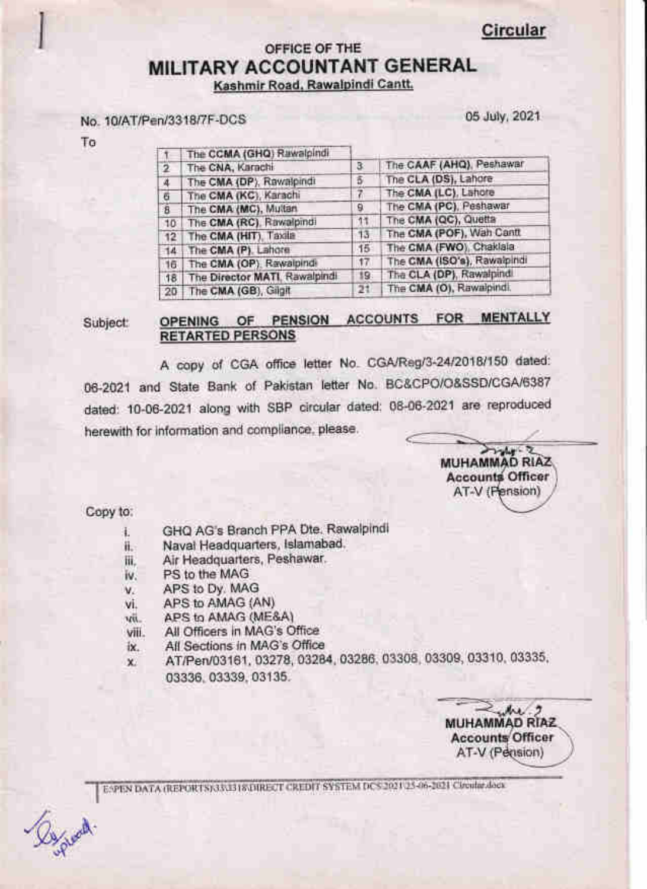Circular

# OFFICE OF THE MILITARY ACCOUNTANT GENERAL Kashmir Road. Rawaipindi Cantt.

#### No. 1 0lAT/Pen/331 8/7F-DCS

05 July, 2021

To

g

| The CNA, Karachi | з                                                                                                                                                                                                                                                                             | The CAAF (AHQ), Peshawar    |
|------------------|-------------------------------------------------------------------------------------------------------------------------------------------------------------------------------------------------------------------------------------------------------------------------------|-----------------------------|
|                  | õ                                                                                                                                                                                                                                                                             | The CLA (DS), Lahore        |
|                  |                                                                                                                                                                                                                                                                               | The CMA (LC), Lahore        |
|                  | 9                                                                                                                                                                                                                                                                             | The CMA (PC), Peshawar      |
|                  | 11                                                                                                                                                                                                                                                                            | The CMA (QC), Quetta        |
|                  | 13                                                                                                                                                                                                                                                                            | The CMA (POF), Wah Cantt    |
|                  | 15                                                                                                                                                                                                                                                                            | The CMA (FWO), Chaklala     |
|                  | 17                                                                                                                                                                                                                                                                            | The CMA (ISO's), Rawaipindi |
|                  | 19.                                                                                                                                                                                                                                                                           | The CLA (DP), Rawalpind.    |
|                  | 21                                                                                                                                                                                                                                                                            | The CMA (O), Rawaipindi.    |
| 10<br>16         | The CCMA (GHQ) Rawalpindi<br>The CMA (DP), Rawalpindi<br>The CMA (KC), Karachi<br>The CMA (MC), Multan<br>The CMA (RC), Rawalpindi<br>The CMA (HIT), Taxila<br>14 The CMA (P). Lahore<br>The CMA (OP), Rawaipindi<br>The Director MATI, Rawalpindi<br>20 The CMA (GB), Gilgit |                             |

Subject: OPENING OF PENSION ACCOUNTS FOR MENTALLY RETARTED PERSONS

A copy of CGA office letter No. CGA/Reg/3-24/2018/150 dated: 06-2021 and State Bank of Pakistan letter No. BC&CPO/O&SSD/CGA/6387 dated: 10-06-2021 along with SBP circular dated: 0S-06-2021 are reproduced herewith for information and compliance, please.

εş **MUHAMMAD RIAZ** Accoun Officer AT-V (Pension)

Copy to:

- t. GHQ AG's Branch PPA Dte. Rawalpindi
- ii. Naval Headquarters, Islamabad.
- iii. Air Headquarters, Peshawar.
- iv. PS to the MAG
- V. APS to Dy. MAG
- vi. APS to AMAG (AN)
- vri. APS to AMAG (ME&A)
- viii. All Officers in MAS's Office
- fx. All Sections in MAG's Office
- AT/Pen/03161, 03278, 03284, 03286, 03308, 03309, 03310, 03335, 03336, 0333S, 031 35.  $x$

 $M<sub>2</sub>$ MUHAMMAD RIAZ **Accounts Officer** AT-V (Pension)

E:\PEN DATA (REPORTS)\33\33 IS\DIRECT CREDIT SYSTEM DCS\2021\25-06-2021 Circular.doc)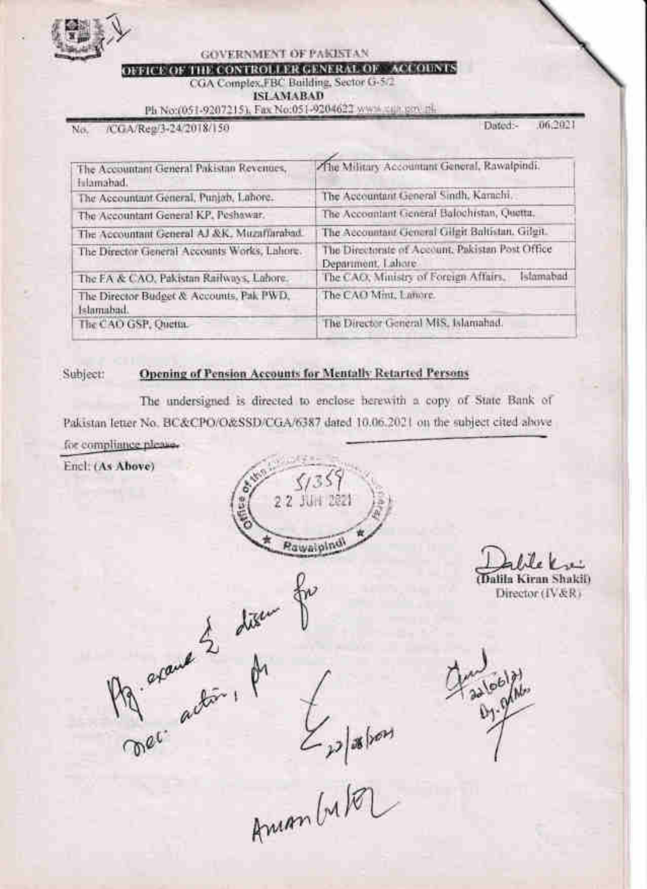

**GOVERNMENT OF PAKISTAN** 

### OFFICE OF THE CONTROLLER GENERAL OF ACCOUNTS

CGA Complex FBC Building, Sector G-5/2 **ISLAMABAD** 

Ph No:(051-9207215), Fax No:051-9204622 www.can.pro.pl.

/CGA/Reg/3-24/2018/150 No.

Dated:-06,2021

| The Accountant General Pakistan Revenues,<br>fulamabad. | The Military Accountunt General, Rawalpindi,                           |  |  |
|---------------------------------------------------------|------------------------------------------------------------------------|--|--|
| The Accountant General, Punjab, Labore.                 | The Accountant General Sindh, Karachi,                                 |  |  |
| The Accountant General KP, Peshawar,                    | The Accountant General Balochistan, Quetta,                            |  |  |
| The Accountant General AJ &K, Muzaffurabad,             | The Accountant General Gilgit Baltistan, Gilgit.                       |  |  |
| The Director General Accounts Works, Lahore.            | The Directorate of Account, Pakistan Post Office<br>Department, Lahore |  |  |
| The EA & CAO, Pakistan Railways, Labore.                | Islamabad<br>The CAO, Ministry of Foreign Affairs,                     |  |  |
| The Director Budget & Accounts, Pak PWD,<br>Islamabad.  | The CAO Mint, Lancre.                                                  |  |  |
| The CAO GSP, Quetta.                                    | The Director General MiS, Islamahad.                                   |  |  |

#### Opening of Pension Accounts for Mentally Retarted Persons Subject:

Pg. around 2 diger

The undersigned is directed to enclose berewith a copy of State Bank of Pakistan letter No. BC&CPO/O&SSD/CGA/6387 dated 10.06.2021 on the subject cited above for compliance please.

Encl: (As Above)

2.2 JUN 2221 **Pawaipino** 

Dalila Kiran Shakib Director (IV&R)

Epplation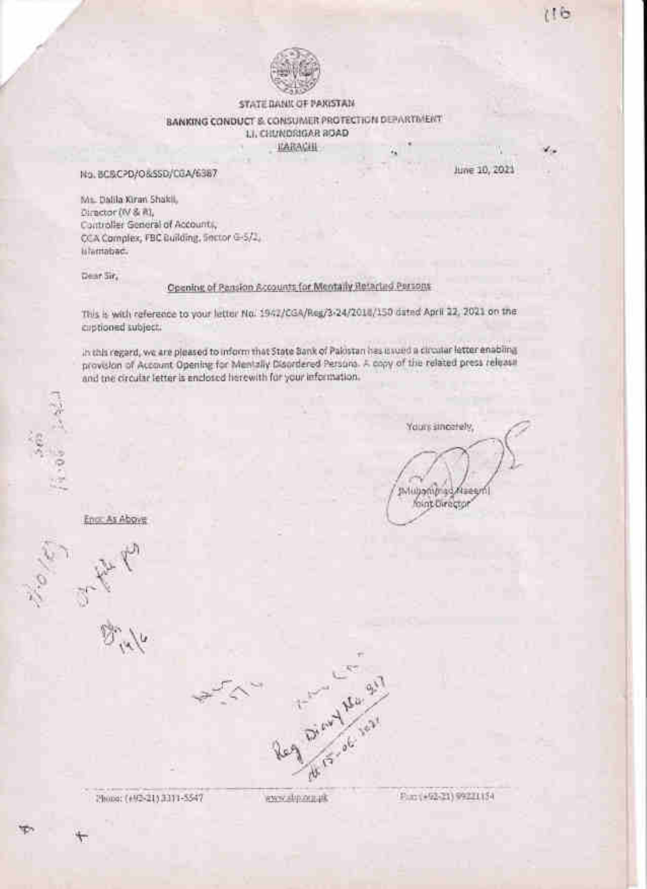

## STATE DANK OF PAKISTAN BANKING CONDUCT & CONSUMER PROTECTION DEPARTMENT LI, CHLINDRIGAR 80AD

**IZARACHI** 

June 10, 2021

 $116$ 

No. BCBCPD/O&SSD/CGA/6387

Mt. Dalila Kiran Shakil, Director (IV & R), Controller General of Accounts, CCA Complex, FBC Building, Sector G-5/2, islamabac.

Dear Sir.

Opening of Pansion Accounts for Mentally Retarted Persons

This is with reference to your letter No. 1942/CGA/Reg/3-24/2018/150 dated April 22, 2021 on the captioned subject.

in this regard, we are pleased to inform that State Bank of Palostan has usuad a circular letter enabling provision of Account Opening for Mentally Disordered Persons. A copy of the related press release and the circular letter is enclosed herewith for your information.

Yours sincerely,

foint birector

Alseem

pvlubom*b* ad

Eno: As Above



Phone: (+10-21) 3311-5547

www.strong.pk

Fax: (+92-21) 99221154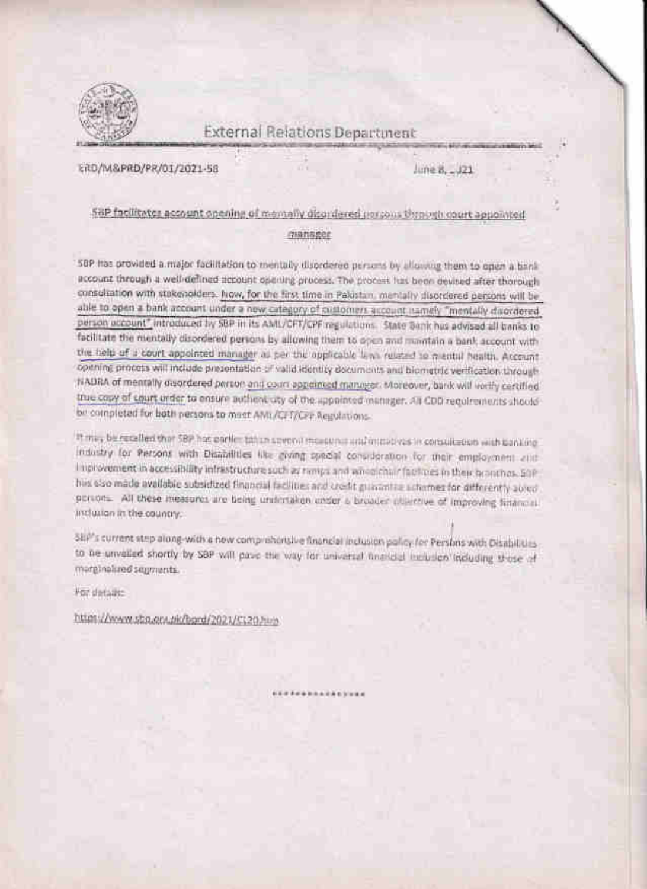

# **External Relations Department**

ERD/M&PRD/PR/01/2021-58

June 8, ... J21

# SBP facilitates account opening of memally disordered persons through court appointed

#### manager

58P has provided a major facilitation to mentally disordered persons by allowing them to open a bank account through a well-defined account opening process. The process has been devised after thorough consultation with stakeholders. Now, for the first time in Pakistan, mentally disordered persons will be able to open a bank account under a new category of customers account isamely "mentally disordered person account" introduced by SBP in its AML/CFT/CPF regulations. State Bank has advised all banks to facilitate the mentally disordered persons by allowing them to open and maintain a bank account with the help of a court appointed manager as per this opplicable laws related to mental Nealth. Account opening process will include presentation of valid identity documents and biometric verification through HADRA of mentally deprotered person and court appointed manager. Moreover, bank will vorify certified true capy of court order to ensure authent uty of the appointed manager. All CDD requirements should be completed for both persons to meet AML/CFT/CFT Regulations-

It may be recelled that 58P has earlier taken several measures and intercrease reconsultation with participindustry for Persons with Distribilities like giving special consideration for their employment and I not overnent in accessibility infrastructure such as nonps and amonichiar factures in their bronches. SOP, hiis siso made available subsidized financial facilities and kredit guissintial schemes for differently abred portons. All these measures are being unifortaken under a broader objective of improving financial inclusion in the country.

ShP's current step along-with a new comprehensive financial inclusion policy for Persims with Disabilities to be unveiled shortly by SBP will pave the way for universal financial includion including those of marginalized supments.

For details:

https://www.stra.gra.nk/bord/2021/0120.htm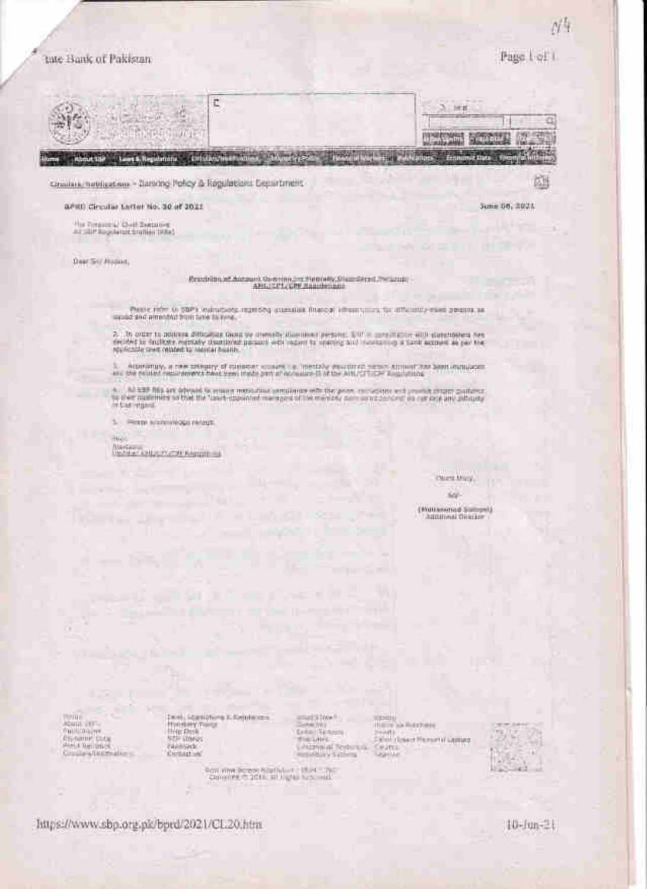### tate Bank of Pakistan

Page Lot's

ñШ

**June 06, 2021** 

cinsing netrication - Sarting Policy & Regulations Securitiment

aPHI) Circular Latter No. 20 of 2021

The Treasury Chief Swisson's

Deer Sitz Hoppet,

# Readvisored Autours, Opening Inc. Networking, Discrete Decisions

Please rate to \$9Ps, indirections regarding assessing thereof (three years for differently client presents as<br>and and promoted from take this year.

2. In other to address difficulties down by crosselly discussed persons. SW = meaning and constructions are decided to decided a partially discribed parameter parameters with records a partial equilibrium of the repulsati

1. Acontampy, a new satisfacty of consecutive consection, installed assuming to the same amount has been immulated.<br>Include publish requirements have been ideals part of economic SI of the AMU/CFT/SPF Requisitions.

 $\kappa$  . At \$20 fits are obvious to example measuring persistent with the group converters will provide the production of the function of the concept of the meaning part in the angle of the state of the function of the fun

L. Pennis scientificati recordi.

 $\lambda m_{\rm V}$ **Biotam College Controllering** 

> Characters. su.

**(Nationend Society**  $-11$ 

**Maile per** Valdi major<br>Gipname Cita<br>Giordi Renanco<br>Citate planetario  $\begin{array}{l} \mbox{I set: } \mathcal{L}_{\mathcal{S}} = \{ \mathcal{S} = \{ \mathcal{S} \} \} \\ \mbox{Hence, for } \mathcal{S} = \mathcal{S} \\ \mbox{Supp} \mathcal{S} = \mathcal{S} \\ \mbox{for } \mathcal{S} = \{ \mathcal{S} \} \\ \mbox{for } \mathcal{S} = \{ \mathcal{S} \} \\ \mbox{for } \mathcal{S} = \{ \mathcal{S} \} \\ \mbox{for } \mathcal{S} = \{ \mathcal{S} \} \end{array}$ 

Form when the party of the Contract of

imagatow? Tata Williams<br>Tata Williams Listened Testares sticking<br>| 1979 has Bunchass<br>| 2001 | Love of Mussel of Lampa Ceang



https://www.sbp.org.plc/bprd/2021/CL20.htm

10-Jun-21